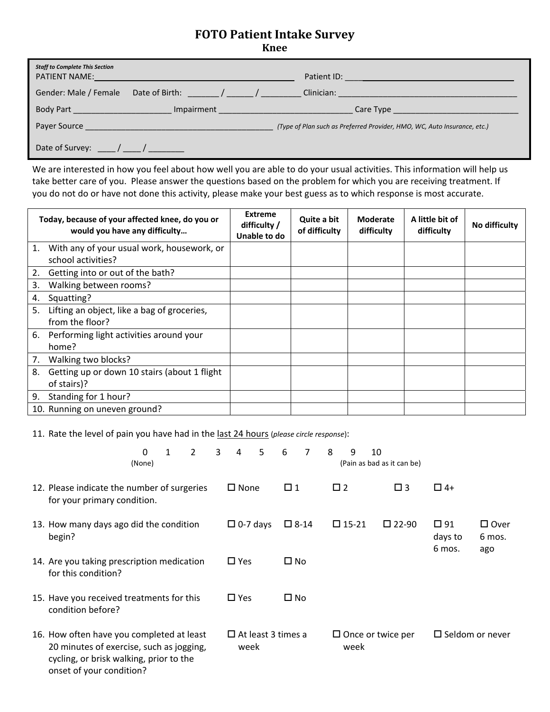## **FOTO Patient Intake Survey**

| <b>Staff to Complete This Section</b>   | PATIENT NAME: The contract of the contract of the contract of the contract of the contract of the contract of the contract of the contract of the contract of the contract of the contract of the contract of the contract of    | Patient ID: The Contract of the Contract of the Contract of the Contract of the Contract of the Contract of the Contract of the Contract of the Contract of the Contract of the Contract of the Contract of the Contract of th |
|-----------------------------------------|----------------------------------------------------------------------------------------------------------------------------------------------------------------------------------------------------------------------------------|--------------------------------------------------------------------------------------------------------------------------------------------------------------------------------------------------------------------------------|
| Gender: Male / Female                   | Date of Birth: ___________/ ________/ ___________                                                                                                                                                                                |                                                                                                                                                                                                                                |
| Body Part _____________________         | Impairment <b>Australian Communication</b>                                                                                                                                                                                       |                                                                                                                                                                                                                                |
|                                         | <b>Payer Source Example 2008 Contract Contract Contract Contract Contract Contract Contract Contract Contract Contract Contract Contract Contract Contract Contract Contract Contract Contract Contract Contract Contract Co</b> | (Type of Plan such as Preferred Provider, HMO, WC, Auto Insurance, etc.)                                                                                                                                                       |
| Date of Survey: _____/ _____/ _________ |                                                                                                                                                                                                                                  |                                                                                                                                                                                                                                |

We are interested in how you feel about how well you are able to do your usual activities. This information will help us take better care of you. Please answer the questions based on the problem for which you are receiving treatment. If you do not do or have not done this activity, please make your best guess as to which response is most accurate.

|                                                    | Today, because of your affected knee, do you or<br>would you have any difficulty | <b>Extreme</b><br>difficulty /<br>Unable to do | Quite a bit<br>of difficulty | <b>Moderate</b><br>difficulty | A little bit of<br>difficulty | No difficulty |
|----------------------------------------------------|----------------------------------------------------------------------------------|------------------------------------------------|------------------------------|-------------------------------|-------------------------------|---------------|
| 1.                                                 | With any of your usual work, housework, or                                       |                                                |                              |                               |                               |               |
|                                                    | school activities?                                                               |                                                |                              |                               |                               |               |
| 2.                                                 | Getting into or out of the bath?                                                 |                                                |                              |                               |                               |               |
| Walking between rooms?<br>3.                       |                                                                                  |                                                |                              |                               |                               |               |
| 4.                                                 | Squatting?                                                                       |                                                |                              |                               |                               |               |
| 5.                                                 | Lifting an object, like a bag of groceries,                                      |                                                |                              |                               |                               |               |
|                                                    | from the floor?                                                                  |                                                |                              |                               |                               |               |
| 6. Performing light activities around your         |                                                                                  |                                                |                              |                               |                               |               |
|                                                    | home?                                                                            |                                                |                              |                               |                               |               |
| 7.                                                 | Walking two blocks?                                                              |                                                |                              |                               |                               |               |
| Getting up or down 10 stairs (about 1 flight<br>8. |                                                                                  |                                                |                              |                               |                               |               |
|                                                    | of stairs)?                                                                      |                                                |                              |                               |                               |               |
| 9.                                                 | Standing for 1 hour?                                                             |                                                |                              |                               |                               |               |
|                                                    | 10. Running on uneven ground?                                                    |                                                |                              |                               |                               |               |

11. Rate the level of pain you have had in the last 24 hours (*please circle response*):

|                                                                                                                                                              | 0<br>(None) | 1 | $\overline{2}$ | 3 | 4                                 | 5 | 6              | 7 | 8           | 9               | 10<br>(Pain as bad as it can be) |                                   |                          |
|--------------------------------------------------------------------------------------------------------------------------------------------------------------|-------------|---|----------------|---|-----------------------------------|---|----------------|---|-------------|-----------------|----------------------------------|-----------------------------------|--------------------------|
| 12. Please indicate the number of surgeries<br>for your primary condition.                                                                                   |             |   |                |   | $\square$ None                    |   | $\Box$ 1       |   | $\square$ 2 |                 | $\square$ 3                      | $\Box$ 4+                         |                          |
| 13. How many days ago did the condition<br>begin?                                                                                                            |             |   |                |   | $\Box$ 0-7 days                   |   | $\square$ 8-14 |   |             | $\square$ 15-21 | $\square$ 22-90                  | $\square$ 91<br>days to<br>6 mos. | $\square$ Over<br>6 mos. |
| 14. Are you taking prescription medication<br>for this condition?                                                                                            |             |   |                |   | $\Box$ Yes                        |   | $\square$ No   |   |             |                 |                                  |                                   | ago                      |
| 15. Have you received treatments for this<br>condition before?                                                                                               |             |   |                |   | $\square$ Yes                     |   | $\square$ No   |   |             |                 |                                  |                                   |                          |
| 16. How often have you completed at least<br>20 minutes of exercise, such as jogging,<br>cycling, or brisk walking, prior to the<br>onset of your condition? |             |   |                |   | $\Box$ At least 3 times a<br>week |   |                |   |             | week            | $\Box$ Once or twice per         | $\Box$ Seldom or never            |                          |